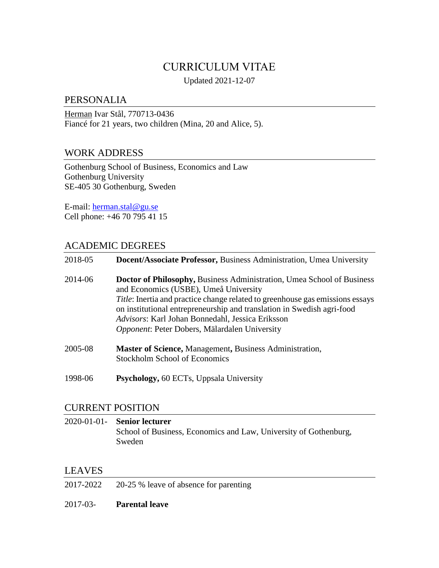# CURRICULUM VITAE

Updated 2021-12-07

# PERSONALIA

Herman Ivar Stål, 770713-0436 Fiancé for 21 years, two children (Mina, 20 and Alice, 5).

# WORK ADDRESS

Gothenburg School of Business, Economics and Law Gothenburg University SE-405 30 Gothenburg, Sweden

E-mail: [herman.stal@gu.se](mailto:herman.stal@gu.se) Cell phone: +46 70 795 41 15

# ACADEMIC DEGREES

| 2018-05 | Docent/Associate Professor, Business Administration, Umea University                                                                                                                                                                                                                                                                                                                           |
|---------|------------------------------------------------------------------------------------------------------------------------------------------------------------------------------------------------------------------------------------------------------------------------------------------------------------------------------------------------------------------------------------------------|
| 2014-06 | <b>Doctor of Philosophy, Business Administration, Umea School of Business</b><br>and Economics (USBE), Umeå University<br><i>Title</i> : Inertia and practice change related to greenhouse gas emissions essays<br>on institutional entrepreneurship and translation in Swedish agri-food<br>Advisors: Karl Johan Bonnedahl, Jessica Eriksson<br>Opponent: Peter Dobers, Mälardalen University |
| 2005-08 | <b>Master of Science, Management, Business Administration,</b><br><b>Stockholm School of Economics</b>                                                                                                                                                                                                                                                                                         |
| 1998-06 | Psychology, 60 ECTs, Uppsala University                                                                                                                                                                                                                                                                                                                                                        |

## CURRENT POSITION

| 2020-01-01- Senior lecturer                                      |
|------------------------------------------------------------------|
| School of Business, Economics and Law, University of Gothenburg, |
| Sweden                                                           |

# LEAVES

- 2017-2022 20-25 % leave of absence for parenting
- 2017-03- **Parental leave**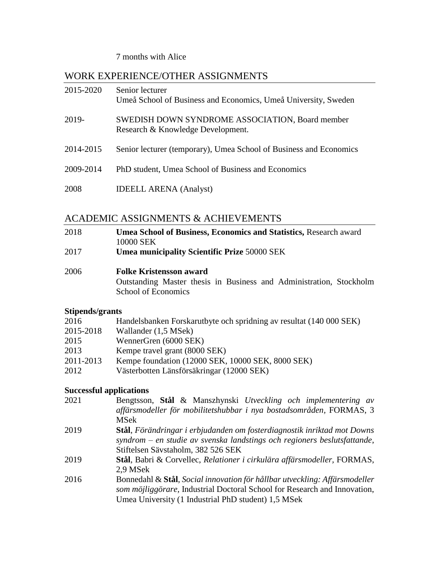### 7 months with Alice

# WORK EXPERIENCE/OTHER ASSIGNMENTS

| 2015-2020 | Senior lecturer<br>Umeå School of Business and Economics, Umeå University, Sweden    |
|-----------|--------------------------------------------------------------------------------------|
| 2019-     | SWEDISH DOWN SYNDROME ASSOCIATION, Board member<br>Research & Knowledge Development. |
| 2014-2015 | Senior lecturer (temporary), Umea School of Business and Economics                   |
| 2009-2014 | PhD student, Umea School of Business and Economics                                   |
| 2008      | <b>IDEELL ARENA</b> (Analyst)                                                        |

# ACADEMIC ASSIGNMENTS & ACHIEVEMENTS

| 2018 | <b>Umea School of Business, Economics and Statistics, Research award</b> |
|------|--------------------------------------------------------------------------|
|      | 10000 SEK                                                                |
| 2017 | Umea municipality Scientific Prize 50000 SEK                             |
|      |                                                                          |

### 2006 **Folke Kristensson award** Outstanding Master thesis in Business and Administration, Stockholm School of Economics

# **Stipends/grants**

| 2016      | Handelsbanken Forskarutbyte och spridning av resultat (140 000 SEK) |
|-----------|---------------------------------------------------------------------|
| 2015-2018 | Wallander (1,5 MSek)                                                |
| 2015      | WennerGren (6000 SEK)                                               |
| 2013      | Kempe travel grant (8000 SEK)                                       |
| 2011-2013 | Kempe foundation (12000 SEK, 10000 SEK, 8000 SEK)                   |
| 2012      | Västerbotten Länsförsäkringar (12000 SEK)                           |

## **Successful applications**

| 2021 | Bengtsson, Stål & Manszhynski Utveckling och implementering av<br>affärsmodeller för mobilitetshubbar i nya bostadsområden, FORMAS, 3                                                                          |
|------|----------------------------------------------------------------------------------------------------------------------------------------------------------------------------------------------------------------|
|      | <b>MSek</b>                                                                                                                                                                                                    |
| 2019 | Stål, Förändringar i erbjudanden om fosterdiagnostik inriktad mot Downs<br>syndrom – en studie av svenska landstings och regioners beslutsfattande,                                                            |
|      | Stiftelsen Sävstaholm, 382 526 SEK                                                                                                                                                                             |
| 2019 | Stål, Babri & Corvellec, Relationer i cirkulära affärsmodeller, FORMAS,<br>2,9 MSek                                                                                                                            |
| 2016 | Bonnedahl & Stål, Social innovation för hållbar utveckling: Affärsmodeller<br>som möjliggörare, Industrial Doctoral School for Research and Innovation,<br>Umea University (1 Industrial PhD student) 1,5 MSek |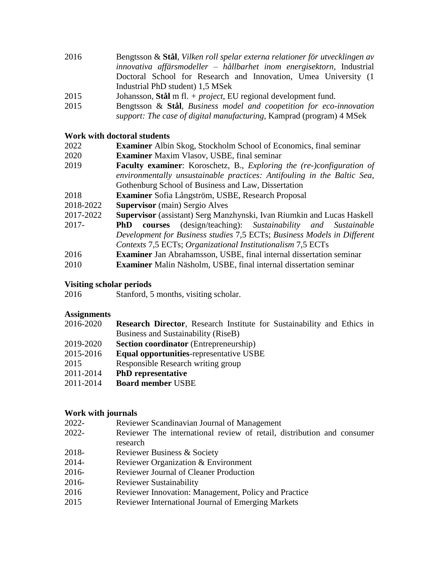- 2016 Bengtsson & **Stål**, *Vilken roll spelar externa relationer för utvecklingen av innovativa affärsmodeller – hållbarhet inom energisektorn,* Industrial Doctoral School for Research and Innovation, Umea University (1 Industrial PhD student) 1,5 MSek
- 2015 Johansson, **Stål** m fl. *+ project*, EU regional development fund.
- 2015 Bengtsson & **Stål**, *Business model and coopetition for eco-innovation support: The case of digital manufacturing,* Kamprad (program) 4 MSek

#### **Work with doctoral students**

- 2022 **Examiner** Albin Skog, Stockholm School of Economics, final seminar
- 2020 **Examiner** Maxim Vlasov, USBE, final seminar
- 2019 **Faculty examiner**: Koroschetz, B., *Exploring the (re-)configuration of environmentally unsustainable practices: Antifouling in the Baltic Sea*, Gothenburg School of Business and Law, Dissertation
- 2018 **Examiner** Sofia Långström, USBE, Research Proposal
- 2018-2022 **Supervisor** (main) Sergio Alves
- 2017-2022 **Supervisor** (assistant) Serg Manzhynski, Ivan Riumkin and Lucas Haskell
- 2017- **PhD courses** (design/teaching): *Sustainability and Sustainable Development for Business studies* 7,5 ECTs; *Business Models in Different Contexts* 7,5 ECTs; *Organizational Institutionalism* 7,5 ECTs
- 2016 **Examiner** Jan Abrahamsson, USBE, final internal dissertation seminar
- 2010 **Examiner** Malin Näsholm, USBE, final internal dissertation seminar

#### **Visiting scholar periods**

2016 Stanford, 5 months, visiting scholar.

#### **Assignments**

- 2016-2020 **Research Director**, Research Institute for Sustainability and Ethics in Business and Sustainability (RiseB)
- 2019-2020 **Section coordinator** (Entrepreneurship)
- 2015-2016 **Equal opportunities**-representative USBE
- 2015 Responsible Research writing group
- 2011-2014 **PhD representative**
- 2011-2014 **Board member** USBE

#### **Work with journals**

- 2022- Reviewer Scandinavian Journal of Management
- 2022- Reviewer The international review of retail, distribution and consumer research
- 2018- Reviewer Business & Society
- 2014- Reviewer Organization & Environment
- 2016- Reviewer Journal of Cleaner Production
- 2016- Reviewer Sustainability
- 2016 Reviewer Innovation: Management, Policy and Practice
- 2015 Reviewer International Journal of Emerging Markets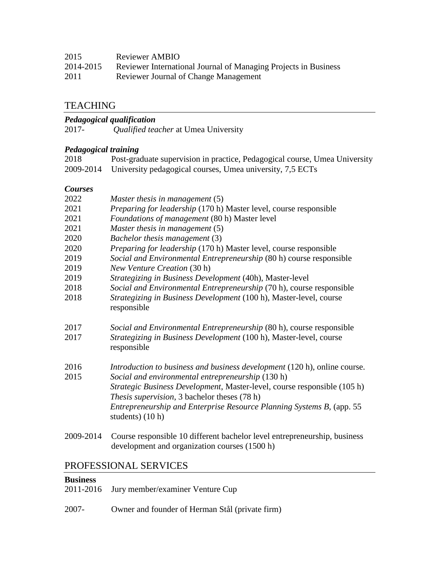| 2014-2015 | Reviewer International Journal of Managing Projects in Business |  |  |  |  |
|-----------|-----------------------------------------------------------------|--|--|--|--|
|-----------|-----------------------------------------------------------------|--|--|--|--|

2011 Reviewer Journal of Change Management

## TEACHING

### *Pedagogical qualification*

|  | 2017- | <i>Qualified teacher at Umea University</i> |
|--|-------|---------------------------------------------|
|--|-------|---------------------------------------------|

#### *Pedagogical training*

| Post-graduate supervision in practice, Pedagogical course, Umea University<br>2018<br>2009-2014<br>University pedagogical courses, Umea university, 7,5 ECTs |                                                                          |
|--------------------------------------------------------------------------------------------------------------------------------------------------------------|--------------------------------------------------------------------------|
| <b>Courses</b>                                                                                                                                               |                                                                          |
| 2022                                                                                                                                                         | Master thesis in management $(5)$                                        |
| 2021                                                                                                                                                         | <i>Preparing for leadership</i> (170 h) Master level, course responsible |

- 2021 *Foundations of management* (80 h) Master level
- 2021 *Master thesis in management* (5)
- 2020 *Bachelor thesis management* (3)
- 2020 *Preparing for leadership* (170 h) Master level, course responsible
- 2019 *Social and Environmental Entrepreneurship* (80 h) course responsible
- 2019 *New Venture Creation* (30 h)
- 2019 *Strategizing in Business Development* (40h), Master-level
- 2018 *Social and Environmental Entrepreneurship* (70 h), course responsible
- 2018 *Strategizing in Business Development* (100 h), Master-level, course responsible
- 2017 *Social and Environmental Entrepreneurship* (80 h), course responsible
- 2017 *Strategizing in Business Development* (100 h), Master-level, course responsible
- 2016 *Introduction to business and business development* (120 h), online course.
- 2015 *Social and environmental entrepreneurship* (130 h) *Strategic Business Development*, Master-level, course responsible (105 h) *Thesis supervision*, 3 bachelor theses (78 h) *Entrepreneurship and Enterprise Resource Planning Systems B,* (app. 55 students) (10 h)
- 2009-2014 Course responsible 10 different bachelor level entrepreneurship, business development and organization courses (1500 h)

# PROFESSIONAL SERVICES

## **Business**

|  | 2011-2016 Jury member/examiner Venture Cup |  |
|--|--------------------------------------------|--|
|--|--------------------------------------------|--|

2007- Owner and founder of Herman Stål (private firm)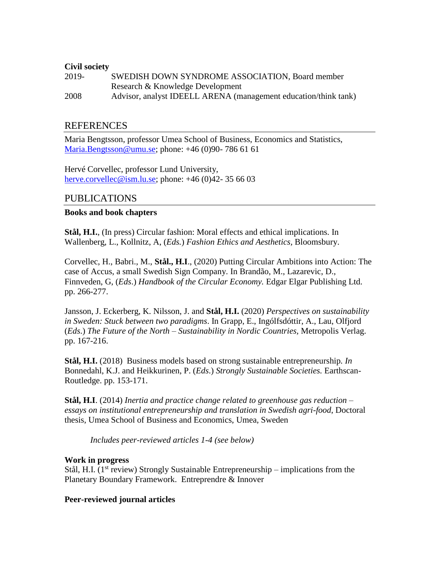#### **Civil society**

2019- SWEDISH DOWN SYNDROME ASSOCIATION, Board member Research & Knowledge Development 2008 Advisor, analyst IDEELL ARENA (management education/think tank)

## REFERENCES

Maria Bengtsson, professor Umea School of Business, Economics and Statistics, [Maria.Bengtsson@umu.se;](mailto:Maria.Bengtsson@umu.se) phone: +46 (0)90- 786 61 61

Hervé Corvellec, professor Lund University, [herve.corvellec@ism.lu.se;](mailto:herve.corvellec@ism.lu.se) phone:  $+46(0)42-356603$ 

## PUBLICATIONS

#### **Books and book chapters**

**Stål, H.I.**, (In press) Circular fashion: Moral effects and ethical implications. In Wallenberg, L., Kollnitz, A, (*Eds.*) *Fashion Ethics and Aesthetics,* Bloomsbury.

Corvellec, H., Babri., M., **Stål., H.I**., (2020) Putting Circular Ambitions into Action: The case of Accus, a small Swedish Sign Company. In Brandão, M., Lazarevic, D., Finnveden, G, (*Eds*.) *Handbook of the Circular Economy.* Edgar Elgar Publishing Ltd. pp. 266-277.

Jansson, J. Eckerberg, K. Nilsson, J. and **Stål, H.I.** (2020) *Perspectives on sustainability in Sweden: Stuck between two paradigms*. In Grapp, E., Ingólfsdóttir, A., Lau, Olfjord (*Eds*.) *The Future of the North – Sustainability in Nordic Countries,* Metropolis Verlag. pp. 167-216.

**Stål, H.I.** (2018) Business models based on strong sustainable entrepreneurship*. In* Bonnedahl, K.J. and Heikkurinen, P. (*Eds*.) *Strongly Sustainable Societies.* Earthscan-Routledge. pp. 153-171.

**Stål, H.I**. (2014) *Inertia and practice change related to greenhouse gas reduction – essays on institutional entrepreneurship and translation in Swedish agri-food*, Doctoral thesis, Umea School of Business and Economics, Umea, Sweden

*Includes peer-reviewed articles 1-4 (see below)*

#### **Work in progress**

Stål, H.I. ( $1<sup>st</sup>$  review) Strongly Sustainable Entrepreneurship – implications from the Planetary Boundary Framework. Entreprendre & Innover

#### **Peer-reviewed journal articles**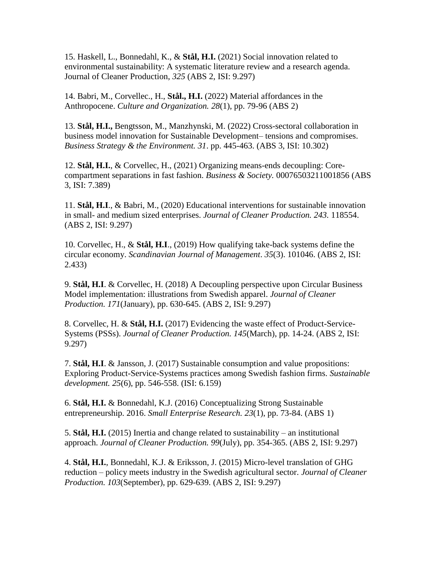15. Haskell, L., Bonnedahl, K., & **Stål, H.I.** (2021) Social innovation related to environmental sustainability: A systematic literature review and a research agenda. Journal of Cleaner Production, *325* (ABS 2, ISI: 9.297)

14. Babri, M., Corvellec., H., **Stål., H.I.** (2022) Material affordances in the Anthropocene. *Culture and Organization. 28*(1), pp. 79-96 (ABS 2)

13. **Stål, H.I.,** Bengtsson, M., Manzhynski, M. (2022) Cross-sectoral collaboration in business model innovation for Sustainable Development– tensions and compromises. *Business Strategy & the Environment. 31*. pp. 445-463. (ABS 3, ISI: 10.302)

12. **Stål, H.I.**, & Corvellec, H., (2021) Organizing means-ends decoupling: Corecompartment separations in fast fashion. *Business & Society.* 00076503211001856 (ABS 3, ISI: 7.389)

11. **Stål, H.I**., & Babri, M., (2020) Educational interventions for sustainable innovation in small- and medium sized enterprises. *Journal of Cleaner Production. 243.* 118554. (ABS 2, ISI: 9.297)

10. Corvellec, H., & **Stål, H.I**., (2019) How qualifying take-back systems define the circular economy. *Scandinavian Journal of Management*. *35*(3). 101046. (ABS 2, ISI: 2.433)

9. **Stål, H.I**. & Corvellec, H. (2018) A Decoupling perspective upon Circular Business Model implementation: illustrations from Swedish apparel. *Journal of Cleaner Production. 171*(January), pp. 630-645. (ABS 2, ISI: 9.297)

8. Corvellec, H. & **Stål, H.I.** (2017) Evidencing the waste effect of Product-Service-Systems (PSSs). *Journal of Cleaner Production. 145*(March), pp. 14-24. (ABS 2, ISI: 9.297)

7. **Stål, H.I**. & Jansson, J. (2017) Sustainable consumption and value propositions: Exploring Product-Service-Systems practices among Swedish fashion firms. *Sustainable development. 25*(6), pp. 546-558. (ISI: 6.159)

6. **Stål, H.I.** & Bonnedahl, K.J. (2016) Conceptualizing Strong Sustainable entrepreneurship. 2016. *Small Enterprise Research. 23*(1), pp. 73-84. (ABS 1)

5. **Stål, H.I.** (2015) Inertia and change related to sustainability – an institutional approach. *Journal of Cleaner Production. 99*(July), pp. 354-365. (ABS 2, ISI: 9.297)

4. **Stål, H.I.**, Bonnedahl, K.J. & Eriksson, J. (2015) Micro-level translation of GHG reduction – policy meets industry in the Swedish agricultural sector. *Journal of Cleaner Production. 103*(September), pp. 629-639. (ABS 2, ISI: 9.297)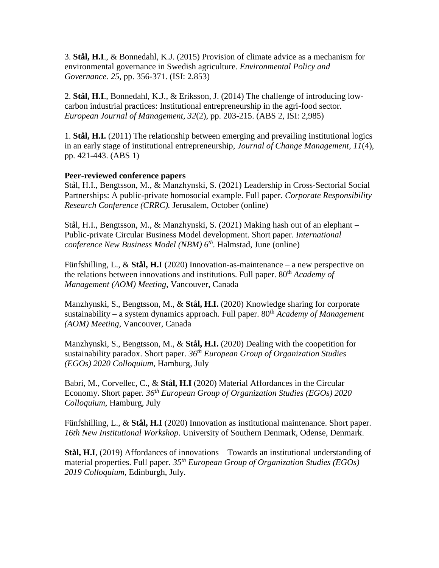3. **Stål, H.I**., & Bonnedahl, K.J. (2015) Provision of climate advice as a mechanism for environmental governance in Swedish agriculture. *Environmental Policy and Governance. 25,* pp. 356-371. (ISI: 2.853)

2. **Stål, H.I**., Bonnedahl, K.J., & Eriksson, J. (2014) The challenge of introducing lowcarbon industrial practices: Institutional entrepreneurship in the agri-food sector. *European Journal of Management, 32*(2), pp. 203-215. (ABS 2, ISI: 2,985)

1. **Stål, H.I.** (2011) The relationship between emerging and prevailing institutional logics in an early stage of institutional entrepreneurship, *Journal of Change Management, 11*(4), pp. 421-443. (ABS 1)

### **Peer-reviewed conference papers**

Stål, H.I., Bengtsson, M., & Manzhynski, S. (2021) Leadership in Cross-Sectorial Social Partnerships: A public-private homosocial example. Full paper. *Corporate Responsibility Research Conference (CRRC).* Jerusalem, October (online)

Stål, H.I., Bengtsson, M., & Manzhynski, S. (2021) Making hash out of an elephant – Public-private Circular Business Model development. Short paper. *International conference New Business Model (NBM) 6 th .* Halmstad, June (online)

Fünfshilling, L., & **Stål, H.I** (2020) Innovation-as-maintenance – a new perspective on the relations between innovations and institutions. Full paper. 80<sup>th</sup> *Academy of Management (AOM) Meeting*, Vancouver, Canada

Manzhynski, S., Bengtsson, M., & **Stål, H.I.** (2020) Knowledge sharing for corporate sustainability – a system dynamics approach. Full paper. 80<sup>th</sup> *Academy of Management (AOM) Meeting*, Vancouver, Canada

Manzhynski, S., Bengtsson, M., & **Stål, H.I.** (2020) Dealing with the coopetition for sustainability paradox. Short paper. *36 th European Group of Organization Studies (EGOs) 2020 Colloquium*, Hamburg, July

Babri, M., Corvellec, C., & **Stål, H.I** (2020) Material Affordances in the Circular Economy. Short paper. *36 th European Group of Organization Studies (EGOs) 2020 Colloquium*, Hamburg, July

Fünfshilling, L., & **Stål, H.I** (2020) Innovation as institutional maintenance. Short paper. *16th New Institutional Workshop*. University of Southern Denmark, Odense, Denmark.

**Stål, H.I**, (2019) Affordances of innovations – Towards an institutional understanding of material properties. Full paper. *35th European Group of Organization Studies (EGOs) 2019 Colloquium*, Edinburgh, July.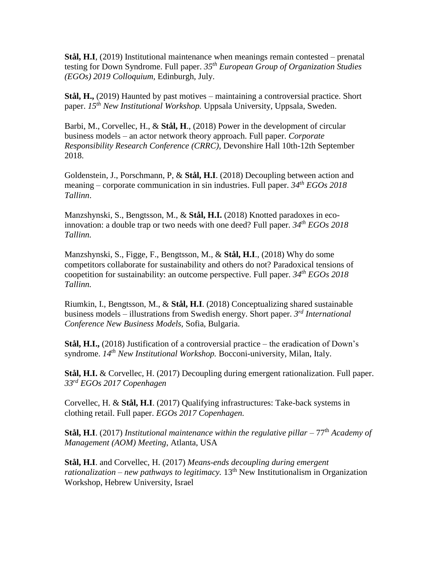**Stål, H.I**, (2019) Institutional maintenance when meanings remain contested – prenatal testing for Down Syndrome. Full paper. *35th European Group of Organization Studies (EGOs) 2019 Colloquium,* Edinburgh, July.

**Stål, H.,** (2019) Haunted by past motives – maintaining a controversial practice. Short paper. *15th New Institutional Workshop.* Uppsala University, Uppsala, Sweden.

Barbi, M., Corvellec, H., & **Stål, H**., (2018) Power in the development of circular business models – an actor network theory approach. Full paper. *Corporate Responsibility Research Conference (CRRC)*, Devonshire Hall 10th-12th September 2018.

Goldenstein, J., Porschmann, P, & **Stål, H.I**. (2018) Decoupling between action and meaning – corporate communication in sin industries. Full paper. *34th EGOs 2018 Tallinn*.

Manzshynski, S., Bengtsson, M., & **Stål, H.I.** (2018) Knotted paradoxes in ecoinnovation: a double trap or two needs with one deed? Full paper. *34th EGOs 2018 Tallinn.*

Manzshynski, S., Figge, F., Bengtsson, M., & **Stål, H.I**., (2018) Why do some competitors collaborate for sustainability and others do not? Paradoxical tensions of coopetition for sustainability: an outcome perspective. Full paper. *34th EGOs 2018 Tallinn.* 

Riumkin, I., Bengtsson, M., & **Stål, H.I**. (2018) Conceptualizing shared sustainable business models – illustrations from Swedish energy. Short paper. *3 rd International Conference New Business Models,* Sofia, Bulgaria.

**Stål, H.I.,** (2018) Justification of a controversial practice – the eradication of Down's syndrome. *14th New Institutional Workshop.* Bocconi-university, Milan, Italy.

**Stål, H.I.** & Corvellec, H. (2017) Decoupling during emergent rationalization. Full paper. *33rd EGOs 2017 Copenhagen*

Corvellec, H. & **Stål, H.I**. (2017) Qualifying infrastructures: Take-back systems in clothing retail. Full paper. *EGOs 2017 Copenhagen.*

**Stål, H.I**. (2017) *Institutional maintenance within the regulative pillar – 77<sup>th</sup> Academy of Management (AOM) Meeting*, Atlanta, USA

**Stål, H.I**. and Corvellec, H. (2017) *Means-ends decoupling during emergent rationalization – new pathways to legitimacy.* 13<sup>th</sup> New Institutionalism in Organization Workshop, Hebrew University, Israel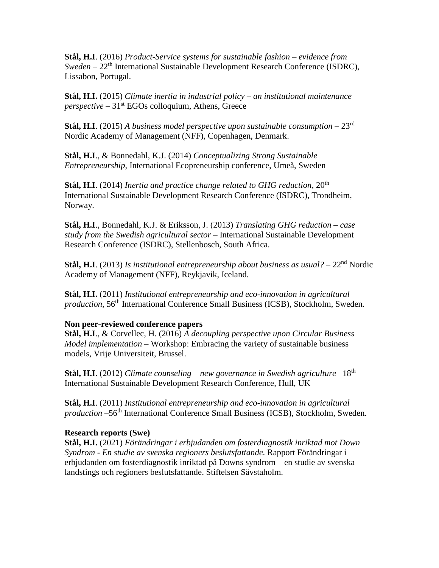**Stål, H.I**. (2016) *Product-Service systems for sustainable fashion – evidence from Sweden* – 22<sup>th</sup> International Sustainable Development Research Conference (ISDRC), Lissabon, Portugal.

**Stål, H.I.** (2015) *Climate inertia in industrial policy – an institutional maintenance perspective –* 31st EGOs colloquium, Athens, Greece

**Stål, H.I**. (2015) *A business model perspective upon sustainable consumption* – 23rd Nordic Academy of Management (NFF), Copenhagen, Denmark.

**Stål, H.I**., & Bonnedahl, K.J. (2014) *Conceptualizing Strong Sustainable Entrepreneurship*, International Ecopreneurship conference, Umeå, Sweden

**Stål, H.I**. (2014) *Inertia and practice change related to GHG reduction*,  $20<sup>th</sup>$ International Sustainable Development Research Conference (ISDRC), Trondheim, Norway.

**Stål, H.I**., Bonnedahl, K.J. & Eriksson, J. (2013) *Translating GHG reduction – case study from the Swedish agricultural sector* – International Sustainable Development Research Conference (ISDRC), Stellenbosch, South Africa.

**Stål, H.I**. (2013) *Is institutional entrepreneurship about business as usual?* – 22nd Nordic Academy of Management (NFF), Reykjavik, Iceland.

**Stål, H.I.** (2011) *Institutional entrepreneurship and eco-innovation in agricultural production*, 56<sup>th</sup> International Conference Small Business (ICSB), Stockholm, Sweden.

#### **Non peer-reviewed conference papers**

**Stål, H.I**., & Corvellec, H. (2016) *A decoupling perspective upon Circular Business Model implementation –* Workshop: Embracing the variety of sustainable business models, Vrije Universiteit, Brussel.

**Stål, H.I**. (2012) *Climate counseling – new governance in Swedish agriculture* –18th International Sustainable Development Research Conference*,* Hull, UK

**Stål, H.I**. (2011) *Institutional entrepreneurship and eco-innovation in agricultural production* –56<sup>th</sup> International Conference Small Business (ICSB), Stockholm, Sweden.

#### **Research reports (Swe)**

**Stål, H.I.** (2021) *Förändringar i erbjudanden om fosterdiagnostik inriktad mot Down Syndrom - En studie av svenska regioners beslutsfattande.* Rapport Förändringar i erbjudanden om fosterdiagnostik inriktad på Downs syndrom – en studie av svenska landstings och regioners beslutsfattande. Stiftelsen Sävstaholm.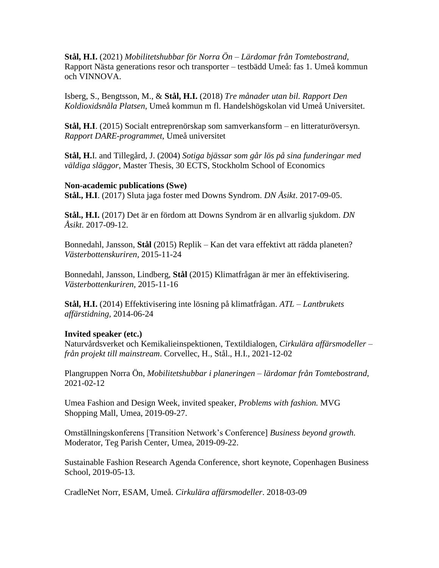**Stål, H.I.** (2021) *Mobilitetshubbar för Norra Ön – Lärdomar från Tomtebostrand,*  Rapport Nästa generations resor och transporter – testbädd Umeå: fas 1. Umeå kommun och VINNOVA.

Isberg, S., Bengtsson, M., & **Stål, H.I.** (2018) *Tre månader utan bil. Rapport Den Koldioxidsnåla Platsen*, Umeå kommun m fl. Handelshögskolan vid Umeå Universitet.

**Stål, H.I**. (2015) Socialt entreprenörskap som samverkansform – en litteraturöversyn. *Rapport DARE-programmet*, Umeå universitet

**Stål, H.**I. and Tillegård, J. (2004) *Sotiga bjässar som går lös på sina funderingar med väldiga släggor*, Master Thesis, 30 ECTS, Stockholm School of Economics

#### **Non-academic publications (Swe)**

**Stål., H.I**. (2017) Sluta jaga foster med Downs Syndrom. *DN Åsikt*. 2017-09-05.

**Stål., H.I.** (2017) Det är en fördom att Downs Syndrom är en allvarlig sjukdom. *DN Åsikt*. 2017-09-12.

Bonnedahl, Jansson, **Stål** (2015) Replik – Kan det vara effektivt att rädda planeten? *Västerbottenskuriren,* 2015-11-24

Bonnedahl, Jansson, Lindberg, **Stål** (2015) Klimatfrågan är mer än effektivisering. *Västerbottenkuriren,* 2015-11-16

**Stål, H.I.** (2014) Effektivisering inte lösning på klimatfrågan. *ATL – Lantbrukets affärstidning,* 2014-06-24

#### **Invited speaker (etc.)**

Naturvårdsverket och Kemikalieinspektionen, Textildialogen, *Cirkulära affärsmodeller – från projekt till mainstream*. Corvellec, H., Stål., H.I., 2021-12-02

Plangruppen Norra Ön, *Mobilitetshubbar i planeringen – lärdomar från Tomtebostrand,*  2021-02-12

Umea Fashion and Design Week, invited speaker, *Problems with fashion.* MVG Shopping Mall, Umea, 2019-09-27.

Omställningskonferens [Transition Network's Conference] *Business beyond growth.*  Moderator, Teg Parish Center, Umea, 2019-09-22.

Sustainable Fashion Research Agenda Conference, short keynote, Copenhagen Business School, 2019-05-13.

CradleNet Norr, ESAM, Umeå. *Cirkulära affärsmodeller*. 2018-03-09